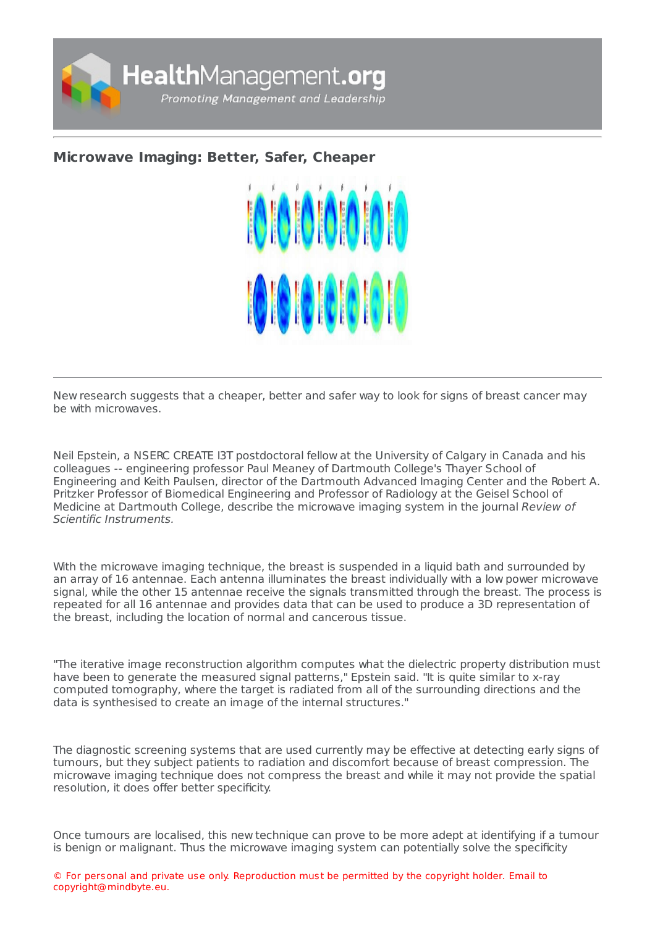

## **[Microwave](https://healthmanagement.org/s/microwave-imaging-better-safer-cheaper) Imaging: Better, Safer, Cheaper**



New research suggests that a cheaper, better and safer way to look for signs of breast cancer may be with microwaves.

Neil Epstein, a NSERC CREATE I3T postdoctoral fellow at the University of Calgary in Canada and his colleagues -- engineering professor Paul Meaney of Dartmouth College's Thayer School of Engineering and Keith Paulsen, director of the Dartmouth Advanced Imaging Center and the Robert A. Pritzker Professor of Biomedical Engineering and Professor of Radiology at the Geisel School of Medicine at Dartmouth College, describe the microwave imaging system in the journal Review of Scientific Instruments.

With the microwave imaging technique, the breast is suspended in a liquid bath and surrounded by an array of 16 antennae. Each antenna illuminates the breast individually with a low power microwave signal, while the other 15 antennae receive the signals transmitted through the breast. The process is repeated for all 16 antennae and provides data that can be used to produce a 3D representation of the breast, including the location of normal and cancerous tissue.

"The iterative image reconstruction algorithm computes what the dielectric property distribution must have been to generate the measured signal patterns," Epstein said. "It is quite similar to x-ray computed tomography, where the target is radiated from all of the surrounding directions and the data is synthesised to create an image of the internal structures."

The diagnostic screening systems that are used currently may be effective at detecting early signs of tumours, but they subject patients to radiation and discomfort because of breast compression. The microwave imaging technique does not compress the breast and while it may not provide the spatial resolution, it does offer better specificity.

Once tumours are localised, this new technique can prove to be more adept at identifying if a tumour is benign or malignant. Thus the microwave imaging system can potentially solve the specificity

© For personal and private use only. Reproduction must be permitted by the copyright holder. Email to copyright@mindbyte.eu.